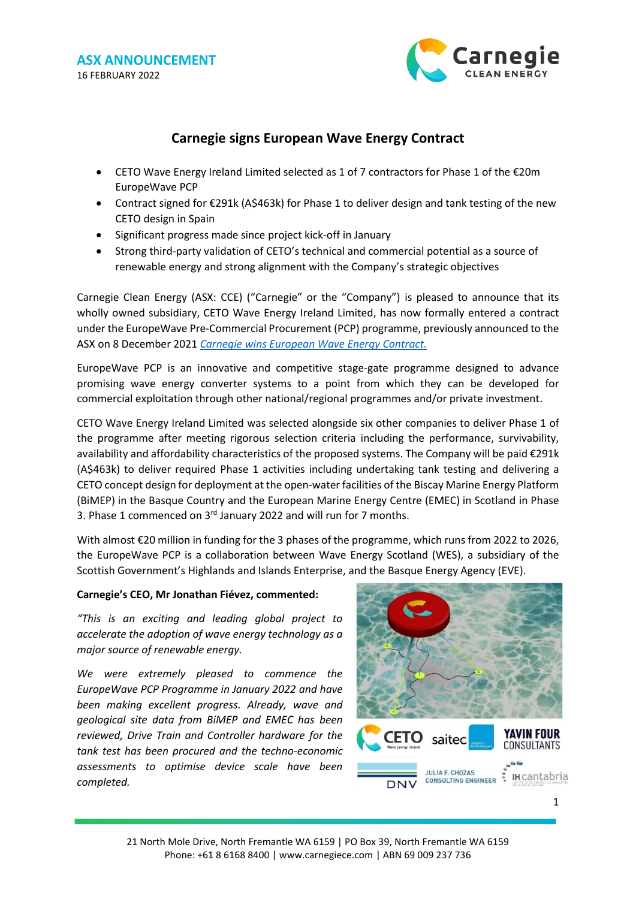

# **Carnegie signs European Wave Energy Contract**

- CETO Wave Energy Ireland Limited selected as 1 of 7 contractors for Phase 1 of the €20m EuropeWave PCP
- Contract signed for €291k (A\$463k) for Phase 1 to deliver design and tank testing of the new CETO design in Spain
- Significant progress made since project kick-off in January
- Strong third-party validation of CETO's technical and commercial potential as a source of renewable energy and strong alignment with the Company's strategic objectives

Carnegie Clean Energy (ASX: CCE) ("Carnegie" or the "Company") is pleased to announce that its wholly owned subsidiary, CETO Wave Energy Ireland Limited, has now formally entered a contract under the EuropeWave Pre-Commercial Procurement (PCP) programme, previously announced to the ASX on 8 December 2021 *[Carnegie wins European Wave Energy Contract.](https://www.carnegiece.com/portfolio/carnegie-wins-european-wave-energy-contract/)*

EuropeWave PCP is an innovative and competitive stage-gate programme designed to advance promising wave energy converter systems to a point from which they can be developed for commercial exploitation through other national/regional programmes and/or private investment.

CETO Wave Energy Ireland Limited was selected alongside six other companies to deliver Phase 1 of the programme after meeting rigorous selection criteria including the performance, survivability, availability and affordability characteristics of the proposed systems. The Company will be paid €291k (A\$463k) to deliver required Phase 1 activities including undertaking tank testing and delivering a CETO concept design for deployment at the open-water facilities of the Biscay Marine Energy Platform (BiMEP) in the Basque Country and the European Marine Energy Centre (EMEC) in Scotland in Phase 3. Phase 1 commenced on 3<sup>rd</sup> January 2022 and will run for 7 months.

With almost €20 million in funding for the 3 phases of the programme, which runs from 2022 to 2026, the EuropeWave PCP is a collaboration between Wave Energy Scotland (WES), a subsidiary of the Scottish Government's Highlands and Islands Enterprise, and the Basque Energy Agency (EVE).

# **Carnegie's CEO, Mr Jonathan Fiévez, commented:**

*"This is an exciting and leading global project to accelerate the adoption of wave energy technology as a major source of renewable energy.*

*We were extremely pleased to commence the EuropeWave PCP Programme in January 2022 and have been making excellent progress. Already, wave and geological site data from BiMEP and EMEC has been reviewed, Drive Train and Controller hardware for the tank test has been procured and the techno-economic assessments to optimise device scale have been completed.*

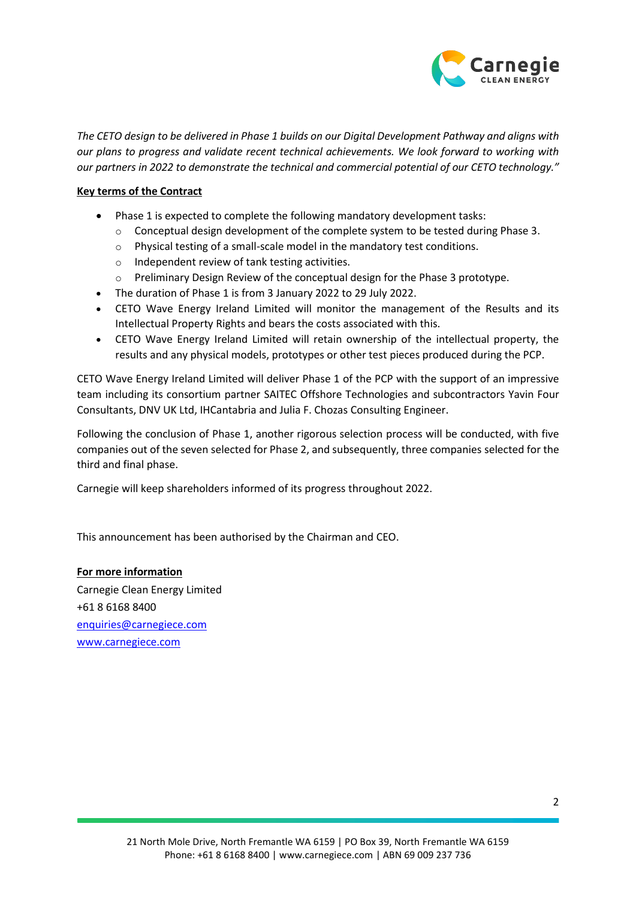

*The CETO design to be delivered in Phase 1 builds on our Digital Development Pathway and aligns with our plans to progress and validate recent technical achievements. We look forward to working with our partners in 2022 to demonstrate the technical and commercial potential of our CETO technology."* 

## **Key terms of the Contract**

- Phase 1 is expected to complete the following mandatory development tasks:
	- $\circ$  Conceptual design development of the complete system to be tested during Phase 3.
	- o Physical testing of a small-scale model in the mandatory test conditions.
	- o Independent review of tank testing activities.
	- o Preliminary Design Review of the conceptual design for the Phase 3 prototype.
- The duration of Phase 1 is from 3 January 2022 to 29 July 2022.
- CETO Wave Energy Ireland Limited will monitor the management of the Results and its Intellectual Property Rights and bears the costs associated with this.
- CETO Wave Energy Ireland Limited will retain ownership of the intellectual property, the results and any physical models, prototypes or other test pieces produced during the PCP.

CETO Wave Energy Ireland Limited will deliver Phase 1 of the PCP with the support of an impressive team including its consortium partner SAITEC Offshore Technologies and subcontractors Yavin Four Consultants, DNV UK Ltd, IHCantabria and Julia F. Chozas Consulting Engineer.

Following the conclusion of Phase 1, another rigorous selection process will be conducted, with five companies out of the seven selected for Phase 2, and subsequently, three companies selected for the third and final phase.

Carnegie will keep shareholders informed of its progress throughout 2022.

This announcement has been authorised by the Chairman and CEO.

#### **For more information**

Carnegie Clean Energy Limited +61 8 6168 8400 [enquiries@carnegiece.com](mailto:enquiries@carnegiece.com) [www.carnegiece.com](http://www.carnegiece.com/)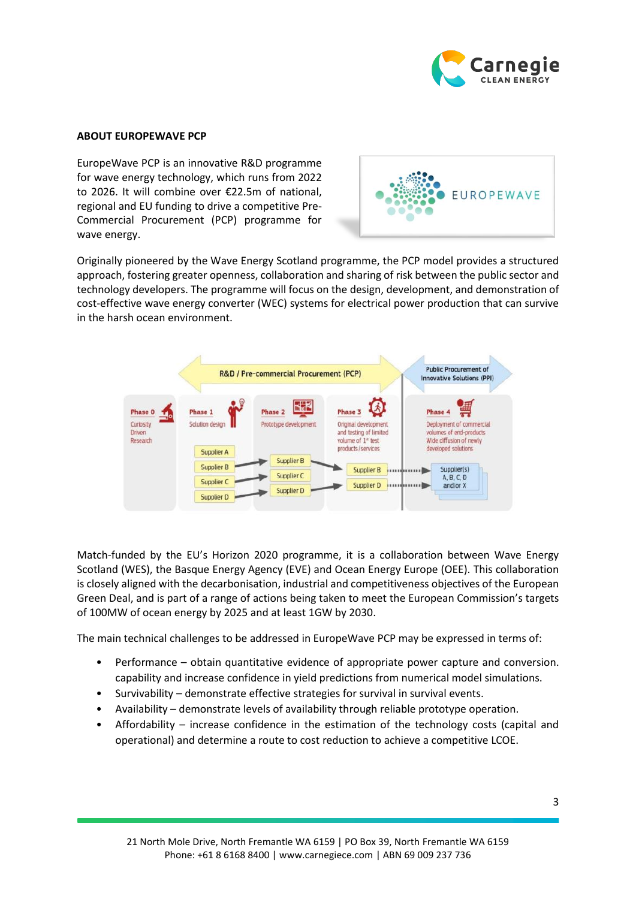

#### **ABOUT EUROPEWAVE PCP**

EuropeWave PCP is an innovative R&D programme for wave energy technology, which runs from 2022 to 2026. It will combine over €22.5m of national, regional and EU funding to drive a competitive Pre-Commercial Procurement (PCP) programme for wave energy.



Originally pioneered by the Wave Energy Scotland programme, the PCP model provides a structured approach, fostering greater openness, collaboration and sharing of risk between the public sector and technology developers. The programme will focus on the design, development, and demonstration of cost-effective wave energy converter (WEC) systems for electrical power production that can survive in the harsh ocean environment.



Match-funded by the EU's Horizon 2020 programme, it is a collaboration between Wave Energy Scotland (WES), the Basque Energy Agency (EVE) and Ocean Energy Europe (OEE). This collaboration is closely aligned with the decarbonisation, industrial and competitiveness objectives of the European Green Deal, and is part of a range of actions being taken to meet the European Commission's targets of 100MW of ocean energy by 2025 and at least 1GW by 2030.

The main technical challenges to be addressed in EuropeWave PCP may be expressed in terms of:

- Performance obtain quantitative evidence of appropriate power capture and conversion. capability and increase confidence in yield predictions from numerical model simulations.
- Survivability demonstrate effective strategies for survival in survival events.
- Availability demonstrate levels of availability through reliable prototype operation.
- Affordability increase confidence in the estimation of the technology costs (capital and operational) and determine a route to cost reduction to achieve a competitive LCOE.